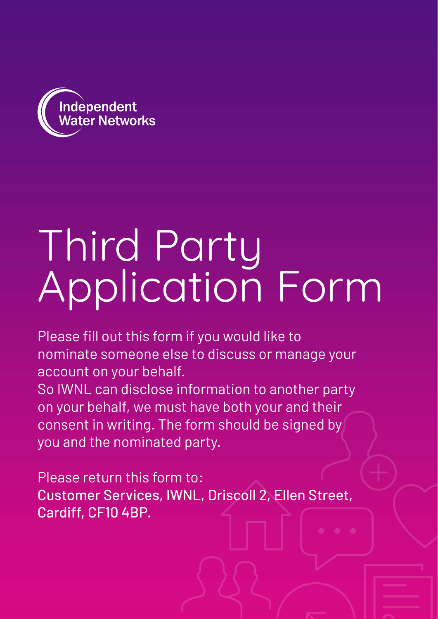

## Third Party Application Form

Please fill out this form if you would like to nominate someone else to discuss or manage your account on your behalf.

So IWNL can disclose information to another party on your behalf, we must have both your and their consent in writing. The form should be signed by you and the nominated party.

Please return this form to: Customer Services, IWNL, Driscoll 2, Ellen Street, Cardiff, CF10 4BP.